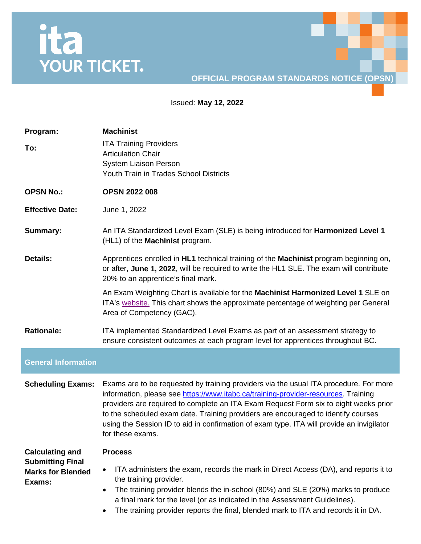## ita<br>YOUR TICKET.

## **OFFICIAL PROGRAM STANDARDS NOTICE (OPSN)**

Issued: **May 12, 2022**

| Program:<br>To:                                               | <b>Machinist</b><br><b>ITA Training Providers</b><br><b>Articulation Chair</b><br><b>System Liaison Person</b><br>Youth Train in Trades School Districts                                                                                                                                                                                                                                                                                                                  |
|---------------------------------------------------------------|---------------------------------------------------------------------------------------------------------------------------------------------------------------------------------------------------------------------------------------------------------------------------------------------------------------------------------------------------------------------------------------------------------------------------------------------------------------------------|
| <b>OPSN No.:</b>                                              | <b>OPSN 2022 008</b>                                                                                                                                                                                                                                                                                                                                                                                                                                                      |
| <b>Effective Date:</b>                                        | June 1, 2022                                                                                                                                                                                                                                                                                                                                                                                                                                                              |
| <b>Summary:</b>                                               | An ITA Standardized Level Exam (SLE) is being introduced for <b>Harmonized Level 1</b><br>(HL1) of the Machinist program.                                                                                                                                                                                                                                                                                                                                                 |
| <b>Details:</b>                                               | Apprentices enrolled in HL1 technical training of the Machinist program beginning on,<br>or after, June 1, 2022, will be required to write the HL1 SLE. The exam will contribute<br>20% to an apprentice's final mark.                                                                                                                                                                                                                                                    |
|                                                               | An Exam Weighting Chart is available for the Machinist Harmonized Level 1 SLE on<br>ITA's website. This chart shows the approximate percentage of weighting per General<br>Area of Competency (GAC).                                                                                                                                                                                                                                                                      |
| <b>Rationale:</b>                                             | ITA implemented Standardized Level Exams as part of an assessment strategy to<br>ensure consistent outcomes at each program level for apprentices throughout BC.                                                                                                                                                                                                                                                                                                          |
| <b>General Information</b>                                    |                                                                                                                                                                                                                                                                                                                                                                                                                                                                           |
| <b>Scheduling Exams:</b>                                      | Exams are to be requested by training providers via the usual ITA procedure. For more<br>information, please see https://www.itabc.ca/training-provider-resources. Training<br>providers are required to complete an ITA Exam Request Form six to eight weeks prior<br>to the scheduled exam date. Training providers are encouraged to identify courses<br>using the Session ID to aid in confirmation of exam type. ITA will provide an invigilator<br>for these exams. |
| <b>Calculating and</b>                                        | <b>Process</b>                                                                                                                                                                                                                                                                                                                                                                                                                                                            |
| <b>Submitting Final</b><br><b>Marks for Blended</b><br>Exams: | ITA administers the exam, records the mark in Direct Access (DA), and reports it to<br>the training provider.<br>The training provider blends the in-school (80%) and SLE (20%) marks to produce<br>٠<br>a final mark for the level (or as indicated in the Assessment Guidelines).<br>The training provider reports the final, blended mark to ITA and records it in DA.                                                                                                 |